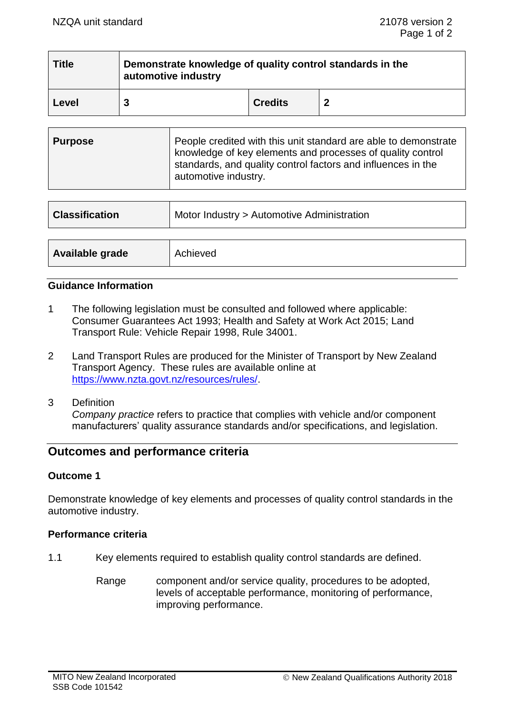| <b>Title</b> | Demonstrate knowledge of quality control standards in the<br>automotive industry |                |  |  |
|--------------|----------------------------------------------------------------------------------|----------------|--|--|
| Level        |                                                                                  | <b>Credits</b> |  |  |

| Purpose | People credited with this unit standard are able to demonstrate<br>knowledge of key elements and processes of quality control<br>standards, and quality control factors and influences in the<br>automotive industry. |
|---------|-----------------------------------------------------------------------------------------------------------------------------------------------------------------------------------------------------------------------|
|         |                                                                                                                                                                                                                       |

| <b>Classification</b> | Motor Industry > Automotive Administration |  |
|-----------------------|--------------------------------------------|--|
|                       |                                            |  |
| Available grade       | Achieved                                   |  |

#### **Guidance Information**

- 1 The following legislation must be consulted and followed where applicable: Consumer Guarantees Act 1993; Health and Safety at Work Act 2015; Land Transport Rule: Vehicle Repair 1998, Rule 34001.
- 2 Land Transport Rules are produced for the Minister of Transport by New Zealand Transport Agency. These rules are available online at [https://www.nzta.govt.nz/resources/rules/.](https://www.nzta.govt.nz/resources/rules/)
- 3 Definition

*Company practice* refers to practice that complies with vehicle and/or component manufacturers' quality assurance standards and/or specifications, and legislation.

# **Outcomes and performance criteria**

#### **Outcome 1**

Demonstrate knowledge of key elements and processes of quality control standards in the automotive industry.

### **Performance criteria**

- 1.1 Key elements required to establish quality control standards are defined.
	- Range component and/or service quality, procedures to be adopted, levels of acceptable performance, monitoring of performance, improving performance.